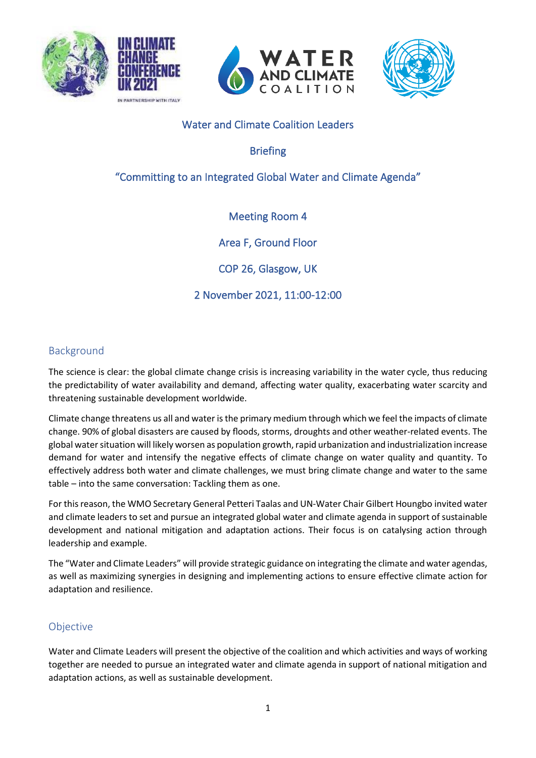







## Water and Climate Coalition Leaders

Briefing

"Committing to an Integrated Global Water and Climate Agenda"

# Meeting Room 4

Area F, Ground Floor

COP 26, Glasgow, UK

2 November 2021, 11:00-12:00

### Background

The science is clear: the global climate change crisis is increasing variability in the water cycle, thus reducing the predictability of water availability and demand, affecting water quality, exacerbating water scarcity and threatening sustainable development worldwide.

Climate change threatens us all and water is the primary medium through which we feel the impacts of climate change. 90% of global disasters are caused by floods, storms, droughts and other weather-related events. The global water situation will likely worsen as population growth, rapid urbanization and industrialization increase demand for water and intensify the negative effects of climate change on water quality and quantity. To effectively address both water and climate challenges, we must bring climate change and water to the same table – into the same conversation: Tackling them as one.

For this reason, the WMO Secretary General Petteri Taalas and UN-Water Chair Gilbert Houngbo invited water and climate leaders to set and pursue an integrated global water and climate agenda in support of sustainable development and national mitigation and adaptation actions. Their focus is on catalysing action through leadership and example.

The "Water and Climate Leaders" will provide strategic guidance on integrating the climate and water agendas, as well as maximizing synergies in designing and implementing actions to ensure effective climate action for adaptation and resilience.

## Objective

Water and Climate Leaders will present the objective of the coalition and which activities and ways of working together are needed to pursue an integrated water and climate agenda in support of national mitigation and adaptation actions, as well as sustainable development.